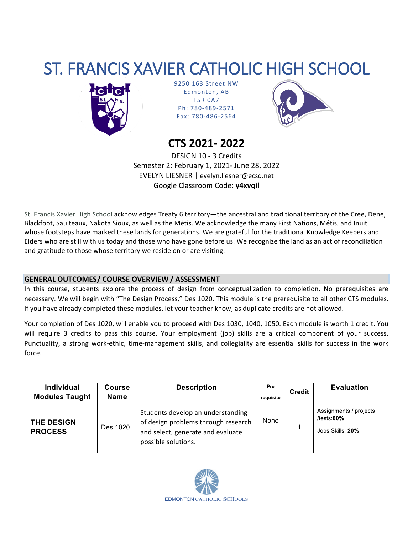# ST. FRANCIS XAVIER CATHOLIC HIGH SCHOOL



9250 163 Street NW Edmonton, AB T5R 0A7 Ph: 780-489-2571 Fax: 780-486-2564



# **CTS 2021- 2022**

DESIGN 10 - 3 Credits Semester 2: February 1, 2021- June 28, 2022 EVELYN LIESNER | evelyn.liesner@ecsd.net Google Classroom Code: **y4xvqil**

St. Francis Xavier High School acknowledges Treaty 6 territory—the ancestral and traditional territory of the Cree, Dene, Blackfoot, Saulteaux, Nakota Sioux, as well as the Métis. We acknowledge the many First Nations, Métis, and Inuit whose footsteps have marked these lands for generations. We are grateful for the traditional Knowledge Keepers and Elders who are still with us today and those who have gone before us. We recognize the land as an act of reconciliation and gratitude to those whose territory we reside on or are visiting.

# **GENERAL OUTCOMES/ COURSE OVERVIEW / ASSESSMENT**

In this course, students explore the process of design from conceptualization to completion. No prerequisites are necessary. We will begin with "The Design Process," Des 1020. This module is the prerequisite to all other CTS modules. If you have already completed these modules, let your teacher know, as duplicate credits are not allowed.

Your completion of Des 1020, will enable you to proceed with Des 1030, 1040, 1050. Each module is worth 1 credit. You will require 3 credits to pass this course. Your employment (job) skills are a critical component of your success. Punctuality, a strong work-ethic, time-management skills, and collegiality are essential skills for success in the work force.

| <b>Individual</b><br><b>Modules Taught</b> | <b>Course</b><br><b>Name</b> | <b>Description</b>                                                                                                                   | Pre<br>requisite | <b>Credit</b> | <b>Evaluation</b>                                            |
|--------------------------------------------|------------------------------|--------------------------------------------------------------------------------------------------------------------------------------|------------------|---------------|--------------------------------------------------------------|
| <b>THE DESIGN</b><br><b>PROCESS</b>        | Des 1020                     | Students develop an understanding<br>of design problems through research<br>and select, generate and evaluate<br>possible solutions. | None             |               | Assignments / projects<br>/tests: $80\%$<br>Jobs Skills: 20% |

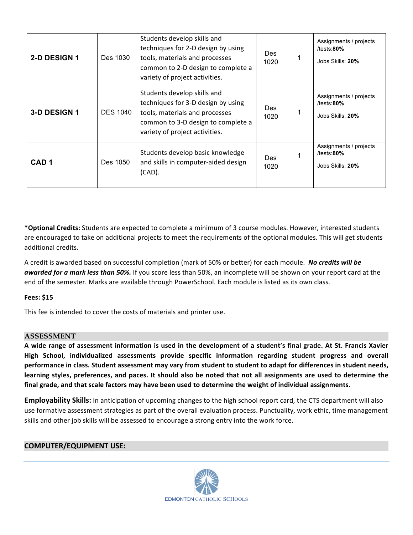| 2-D DESIGN 1     | Des 1030        | Students develop skills and<br>techniques for 2-D design by using<br>tools, materials and processes<br>common to 2-D design to complete a<br>variety of project activities. | Des<br>1020        | Assignments / projects<br>/tests: $80\%$<br>Jobs Skills: 20% |
|------------------|-----------------|-----------------------------------------------------------------------------------------------------------------------------------------------------------------------------|--------------------|--------------------------------------------------------------|
| 3-D DESIGN 1     | <b>DES 1040</b> | Students develop skills and<br>techniques for 3-D design by using<br>tools, materials and processes<br>common to 3-D design to complete a<br>variety of project activities. | Des<br>1020        | Assignments / projects<br>/tests: $80\%$<br>Jobs Skills: 20% |
| CAD <sub>1</sub> | Des 1050        | Students develop basic knowledge<br>and skills in computer-aided design<br>$(CAD)$ .                                                                                        | <b>Des</b><br>1020 | Assignments / projects<br>/tests: $80\%$<br>Jobs Skills: 20% |

\*Optional Credits: Students are expected to complete a minimum of 3 course modules. However, interested students are encouraged to take on additional projects to meet the requirements of the optional modules. This will get students additional credits.

A credit is awarded based on successful completion (mark of 50% or better) for each module. No credits will be *awarded for a mark less than 50%.* If you score less than 50%, an incomplete will be shown on your report card at the end of the semester. Marks are available through PowerSchool. Each module is listed as its own class.

#### **Fees: \$15**

This fee is intended to cover the costs of materials and printer use.

## **ASSESSMENT**

A wide range of assessment information is used in the development of a student's final grade. At St. Francis Xavier High School, individualized assessments provide specific information regarding student progress and overall performance in class. Student assessment may vary from student to student to adapt for differences in student needs, learning styles, preferences, and paces. It should also be noted that not all assignments are used to determine the final grade, and that scale factors may have been used to determine the weight of individual assignments.

**Employability Skills:** In anticipation of upcoming changes to the high school report card, the CTS department will also use formative assessment strategies as part of the overall evaluation process. Punctuality, work ethic, time management skills and other job skills will be assessed to encourage a strong entry into the work force.

#### **COMPUTER/EQUIPMENT USE:**

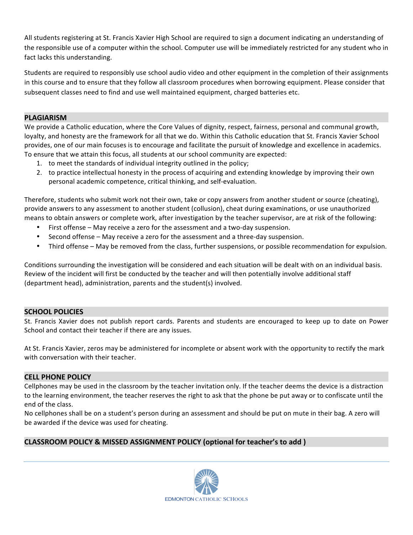All students registering at St. Francis Xavier High School are required to sign a document indicating an understanding of the responsible use of a computer within the school. Computer use will be immediately restricted for any student who in fact lacks this understanding.

Students are required to responsibly use school audio video and other equipment in the completion of their assignments in this course and to ensure that they follow all classroom procedures when borrowing equipment. Please consider that subsequent classes need to find and use well maintained equipment, charged batteries etc.

#### **PLAGIARISM**

We provide a Catholic education, where the Core Values of dignity, respect, fairness, personal and communal growth, loyalty, and honesty are the framework for all that we do. Within this Catholic education that St. Francis Xavier School provides, one of our main focuses is to encourage and facilitate the pursuit of knowledge and excellence in academics. To ensure that we attain this focus, all students at our school community are expected:

- 1. to meet the standards of individual integrity outlined in the policy;
- 2. to practice intellectual honesty in the process of acquiring and extending knowledge by improving their own personal academic competence, critical thinking, and self-evaluation.

Therefore, students who submit work not their own, take or copy answers from another student or source (cheating), provide answers to any assessment to another student (collusion), cheat during examinations, or use unauthorized means to obtain answers or complete work, after investigation by the teacher supervisor, are at risk of the following:

- First offense May receive a zero for the assessment and a two-day suspension.
- Second offense  $-$  May receive a zero for the assessment and a three-day suspension.
- Third offense May be removed from the class, further suspensions, or possible recommendation for expulsion.

Conditions surrounding the investigation will be considered and each situation will be dealt with on an individual basis. Review of the incident will first be conducted by the teacher and will then potentially involve additional staff (department head), administration, parents and the student(s) involved.

#### **SCHOOL POLICIES**

St. Francis Xavier does not publish report cards. Parents and students are encouraged to keep up to date on Power School and contact their teacher if there are any issues.

At St. Francis Xavier, zeros may be administered for incomplete or absent work with the opportunity to rectify the mark with conversation with their teacher.

#### **CELL PHONE POLICY**

Cellphones may be used in the classroom by the teacher invitation only. If the teacher deems the device is a distraction to the learning environment, the teacher reserves the right to ask that the phone be put away or to confiscate until the end of the class.

No cellphones shall be on a student's person during an assessment and should be put on mute in their bag. A zero will be awarded if the device was used for cheating.

## **CLASSROOM POLICY & MISSED ASSIGNMENT POLICY (optional for teacher's to add )**